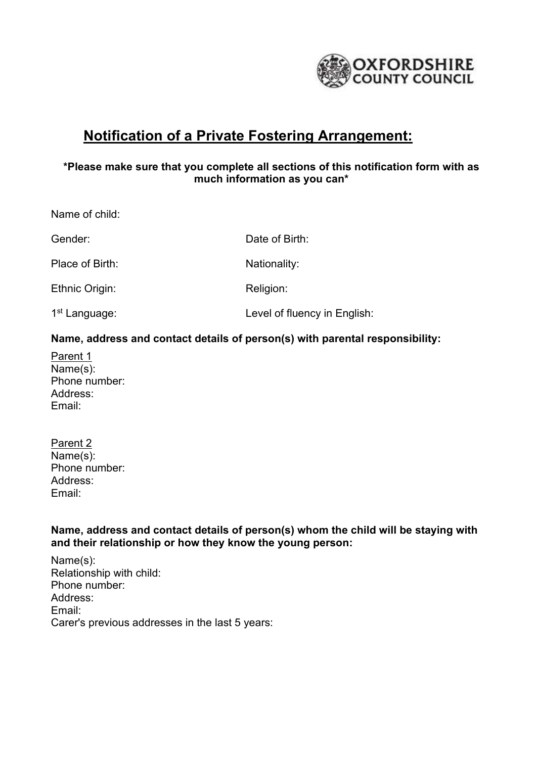

# **Notification of a Private Fostering Arrangement:**

# **\*Please make sure that you complete all sections of this notification form with as much information as you can\***

Name of child: Gender: Contract Contract Contract Contract Date of Birth: Place of Birth: Nationality: Nationality: Ethnic Origin: Religion: 1<sup>st</sup> Language: Level of fluency in English:

# **Name, address and contact details of person(s) with parental responsibility:**

Parent 1 Name(s): Phone number: Address: Email:

Parent 2 Name(s): Phone number: Address: Email:

**Name, address and contact details of person(s) whom the child will be staying with and their relationship or how they know the young person:**

Name(s): Relationship with child: Phone number: Address: Email: Carer's previous addresses in the last 5 years: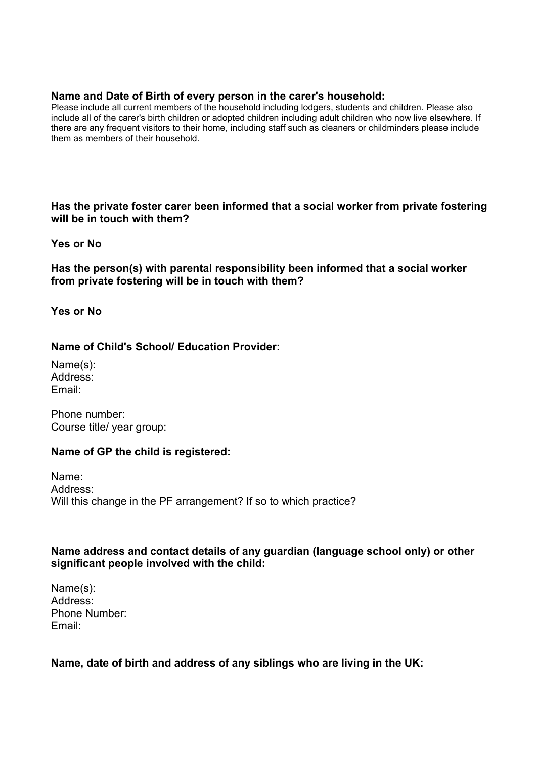#### **Name and Date of Birth of every person in the carer's household:**

Please include all current members of the household including lodgers, students and children. Please also include all of the carer's birth children or adopted children including adult children who now live elsewhere. If there are any frequent visitors to their home, including staff such as cleaners or childminders please include them as members of their household.

**Has the private foster carer been informed that a social worker from private fostering will be in touch with them?** 

#### **Yes or No**

**Has the person(s) with parental responsibility been informed that a social worker from private fostering will be in touch with them?**

**Yes or No**

**Name of Child's School/ Education Provider:**

Name(s): Address: Email:

Phone number: Course title/ year group:

## **Name of GP the child is registered:**

Name: Address: Will this change in the PF arrangement? If so to which practice?

## **Name address and contact details of any guardian (language school only) or other significant people involved with the child:**

Name(s): Address: Phone Number: Email:

## **Name, date of birth and address of any siblings who are living in the UK:**